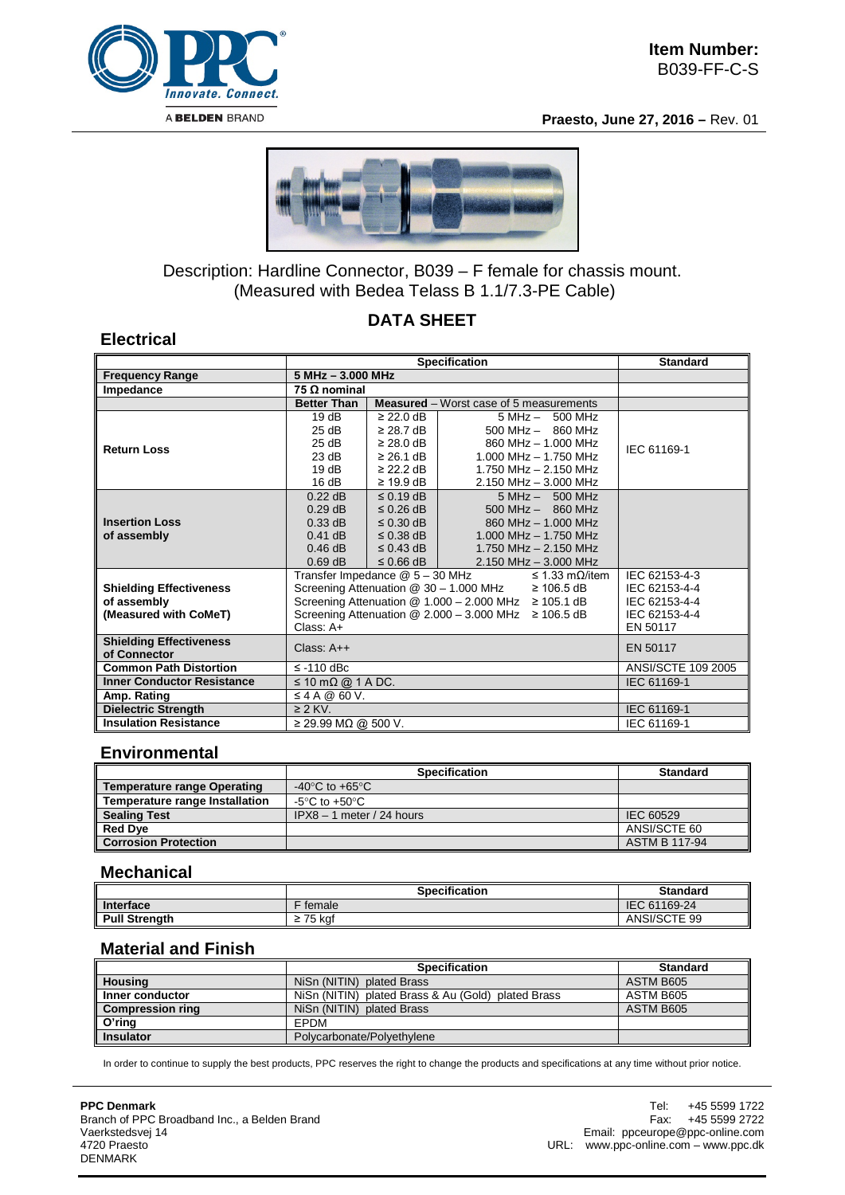

**Electrical**

**Praesto, June 27, 2016 –** Rev. 01



## Description: Hardline Connector, B039 – F female for chassis mount. (Measured with Bedea Telass B 1.1/7.3-PE Cable)

# **DATA SHEET**

|                                      |                                                             | <b>Standard</b>    |                                                             |                              |               |  |  |
|--------------------------------------|-------------------------------------------------------------|--------------------|-------------------------------------------------------------|------------------------------|---------------|--|--|
| <b>Frequency Range</b>               | 5 MHz - 3.000 MHz                                           |                    |                                                             |                              |               |  |  |
| Impedance                            | 75 $\Omega$ nominal                                         |                    |                                                             |                              |               |  |  |
|                                      | <b>Better Than</b>                                          |                    | <b>Measured</b> – Worst case of 5 measurements              |                              |               |  |  |
|                                      | 19dB                                                        | $\geq$ 22.0 dB     |                                                             | $5 MHz - 500 MHz$            |               |  |  |
|                                      | 25 dB                                                       | $\geq$ 28.7 dB     |                                                             |                              |               |  |  |
| <b>Return Loss</b>                   | 25 dB                                                       | $\geq$ 28.0 dB     |                                                             | 860 MHz - 1.000 MHz          | IEC 61169-1   |  |  |
|                                      | 23 dB                                                       | $\geq$ 26.1 dB     |                                                             | $1.000$ MHz $- 1.750$ MHz    |               |  |  |
|                                      | 19dB                                                        | $\geq$ 22.2 dB     | 1.750 MHz $- 2.150$ MHz                                     |                              |               |  |  |
|                                      | 16 dB                                                       | $\geq$ 19.9 dB     | $2.150$ MHz $- 3.000$ MHz                                   |                              |               |  |  |
|                                      | $0.22$ dB                                                   | $\leq$ 0.19 dB     | $5 MHz - 500 MHz$                                           |                              |               |  |  |
|                                      | $0.29$ dB                                                   | $\leq$ 0.26 dB     | $500$ MHz $-$ 860 MHz                                       |                              |               |  |  |
| <b>Insertion Loss</b><br>of assembly | $0.33$ dB                                                   | $\leq$ 0.30 dB     |                                                             | 860 MHz - 1.000 MHz          |               |  |  |
|                                      | $0.41$ dB                                                   | $\leq$ 0.38 dB     | 1.000 MHz - 1.750 MHz                                       |                              |               |  |  |
|                                      | $0.46$ dB                                                   | $\leq$ 0.43 dB     | 1.750 MHz - 2.150 MHz                                       |                              |               |  |  |
|                                      | $0.69$ dB                                                   | $\leq$ 0.66 dB     |                                                             | 2.150 MHz - 3.000 MHz        |               |  |  |
|                                      | Transfer Impedance @ 5 - 30 MHz                             |                    |                                                             | $\leq$ 1.33 m $\Omega$ /item | IEC 62153-4-3 |  |  |
| <b>Shielding Effectiveness</b>       |                                                             |                    | Screening Attenuation @ 30 - 1.000 MHz                      | $\geq 106.5$ dB              | IEC 62153-4-4 |  |  |
| of assembly                          | Screening Attenuation @ $1.000 - 2.000$ MHz $\geq 105.1$ dB | IEC 62153-4-4      |                                                             |                              |               |  |  |
| (Measured with CoMeT)                |                                                             |                    | Screening Attenuation $@ 2.000 - 3.000$ MHz $\geq 106.5$ dB |                              | IEC 62153-4-4 |  |  |
|                                      | Class: A+                                                   | EN 50117           |                                                             |                              |               |  |  |
| <b>Shielding Effectiveness</b>       | Class: $A++$                                                | EN 50117           |                                                             |                              |               |  |  |
| of Connector                         |                                                             |                    |                                                             |                              |               |  |  |
| <b>Common Path Distortion</b>        | $\le$ -110 dBc                                              | ANSI/SCTE 109 2005 |                                                             |                              |               |  |  |
| <b>Inner Conductor Resistance</b>    | $\leq 10 \text{ mA}$ @ 1 A DC.                              | IEC 61169-1        |                                                             |                              |               |  |  |
| Amp. Rating                          | $\leq$ 4 A @ 60 V.                                          |                    |                                                             |                              |               |  |  |
| <b>Dielectric Strength</b>           | $\geq$ 2 KV.                                                | IEC 61169-1        |                                                             |                              |               |  |  |
| <b>Insulation Resistance</b>         | $≥$ 29.99 MΩ @ 500 V.                                       | IEC 61169-1        |                                                             |                              |               |  |  |

#### **Environmental**

|                                       | <b>Specification</b>                 | <b>Standard</b>      |  |  |
|---------------------------------------|--------------------------------------|----------------------|--|--|
| <b>Temperature range Operating</b>    | -40 $^{\circ}$ C to +65 $^{\circ}$ C |                      |  |  |
| <b>Temperature range Installation</b> | -5°C to +50°C.                       |                      |  |  |
| <b>Sealing Test</b>                   | $IPX8 - 1$ meter / 24 hours          | IEC 60529            |  |  |
| <b>Red Dye</b>                        |                                      | ANSI/SCTE 60         |  |  |
| <b>Corrosion Protection</b>           |                                      | <b>ASTM B 117-94</b> |  |  |

#### **Mechanical**

|                      | <b>Specification</b> | <b>Standard</b> |
|----------------------|----------------------|-----------------|
| Interface            | female               | IEC 61169-24    |
| <b>Pull Strenath</b> | $\geq$ 75 kaf        | ANSI/SCTE 99    |

#### **Material and Finish**

|                         | <b>Specification</b>                               | <b>Standard</b> |  |  |
|-------------------------|----------------------------------------------------|-----------------|--|--|
| <b>Housing</b>          | NiSn (NITIN) plated Brass                          | ASTM B605       |  |  |
| Inner conductor         | NiSn (NITIN) plated Brass & Au (Gold) plated Brass | ASTM B605       |  |  |
| <b>Compression ring</b> | NiSn (NITIN) plated Brass                          | ASTM B605       |  |  |
| O'ring                  | EPDM                                               |                 |  |  |
| <b>Insulator</b>        | Polycarbonate/Polyethylene                         |                 |  |  |

In order to continue to supply the best products, PPC reserves the right to change the products and specifications at any time without prior notice.

**PPC Denmark** Branch of PPC Broadband Inc., a Belden Brand Vaerkstedsvej 14 4720 Praesto DENMARK